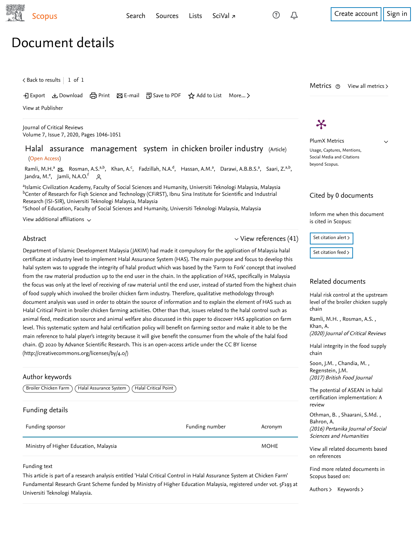[Search](https://www-scopus-com.ezproxy.um.edu.my/search/form.uri?zone=TopNavBar&origin=recordpage&display=basic) [Sources](https://www-scopus-com.ezproxy.um.edu.my/sources.uri?zone=TopNavBar&origin=recordpage) [Lists](https://www-scopus-com.ezproxy.um.edu.my/results/storedList.uri?listId=myDocList&origin=recordpage&zone=TopNavBar) [SciVal](https://www.scival.com/home) <del>1</del> [Create account](https://www-scopus-com.ezproxy.um.edu.my/signin.uri?origin=recordpage&zone=TopNavBar) [Sign in](https://www-scopus-com.ezproxy.um.edu.my/signin.uri?origin=recordpage&zone=TopNavBar)

 $\checkmark$ 

 $\zeta$  [Back to results](https://www-scopus-com.ezproxy.um.edu.my/results/results.uri?sort=plf-f&src=s&st1=HALAL+ASSURANCE+MANAGEMENT+SYSTEM&st2=&sid=2d8a6edb49ac649f664b0f106ce93474&sot=b&sdt=b&sl=40&s=TITLE%28HALAL+ASSURANCE+MANAGEMENT+SYSTEM%29&offset=1&origin=recordpage)  $\vert\,$   $\,$  1 of  $\,$  1  $\,$ 

Download 日 Print A E-mail 『別 Save to PDF ☆ Add to List More... >

[View at Publisher](https://www-scopus-com.ezproxy.um.edu.my/redirect/linking.uri?targetURL=https%3a%2f%2fdoi.org%2f10.31838%2fjcr.07.07.190&locationID=1&categoryID=4&eid=2-s2.0-85084993792&issn=23945125&linkType=ViewAtPublisher&year=2020&origin=recordpage&dig=420d6ad990133cb9855f197553f0c403&recordRank=)

[Journal of Critical Reviews](https://www-scopus-com.ezproxy.um.edu.my/sourceid/21100920227?origin=recordpage) Volume 7, Issue 7, 2020, Pages 1046-1051

## Halal assurance management system in chicken broiler industry (Article) (Open Access)

[Ramli, M.H.](https://www-scopus-com.ezproxy.um.edu.my/authid/detail.uri?authorId=57216867823&eid=2-s2.0-85084993792)ª <sub>⊠</sub>, [Rosman, A.S.](https://www-scopus-com.ezproxy.um.edu.my/authid/detail.uri?authorId=56099763000&eid=2-s2.0-85084993792)ª<sup>,b</sup>, [Khan, A.](https://www-scopus-com.ezproxy.um.edu.my/authid/detail.uri?authorId=8629564400&eid=2-s2.0-85084993792)<sup>c</sup>, [Fadzillah, N.A.](https://www-scopus-com.ezproxy.um.edu.my/authid/detail.uri?authorId=57202953049&eid=2-s2.0-85084993792)<sup>d</sup>, [Hassan, A.M.](https://www-scopus-com.ezproxy.um.edu.my/authid/detail.uri?authorId=57216867646&eid=2-s2.0-85084993792)ª, [Darawi, A.B.B.S.](https://www-scopus-com.ezproxy.um.edu.my/authid/detail.uri?authorId=57216866919&eid=2-s2.0-85084993792)ª, [Saari, Z.](https://www-scopus-com.ezproxy.um.edu.my/authid/detail.uri?authorId=56127600500&eid=2-s2.0-85084993792)ª<sup>,b</sup>, [Jandra, M.](https://www-scopus-com.ezproxy.um.edu.my/authid/detail.uri?authorId=55509129600&eid=2-s2.0-85084993792)<sup>e</sup>, [Jamli, N.A.O.](https://www-scopus-com.ezproxy.um.edu.my/authid/detail.uri?authorId=57216858624&eid=2-s2.0-85084993792)<sup>f</sup> Q

<sup>a</sup>lslamic Civilization Academy, Faculty of Social Sciences and Humanity, Universiti Teknologi Malaysia, Malaysia  $^{\rm b}$ Center of Research for Fiqh Science and Technology (CFiRST), Ibnu Sina Institute for Scientific and Industrial Research (ISI-SIR), Universiti Teknologi Malaysia, Malaysia

<sup>c</sup>School of Education, Faculty of Social Sciences and Humanity, Universiti Teknologi Malaysia, Malaysia

View additional affiliations  $\sim$ 

#### Abstract

#### $\vee$  [View references \(41\)](#page-1-0)

Department of Islamic Development Malaysia (JAKIM) had made it compulsory for the application of Malaysia halal certificate at industry level to implement Halal Assurance System (HAS). The main purpose and focus to develop this halal system was to upgrade the integrity of halal product which was based by the 'Farm to Fork' concept that involved from the raw material production up to the end user in the chain. In the application of HAS, specifically in Malaysia the focus was only at the level of receiving of raw material until the end user, instead of started from the highest chain of food supply which involved the broiler chicken farm industry. Therefore, qualitative methodology through document analysis was used in order to obtain the source of information and to explain the element of HAS such as Halal Critical Point in broiler chicken farming activities. Other than that, issues related to the halal control such as animal feed, medication source and animal welfare also discussed in this paper to discover HAS application on farm level. This systematic system and halal certification policy will benefit on farming sector and make it able to be the main reference to halal player's integrity because it will give benefit the consumer from the whole of the halal food chain. © 2020 by Advance Scientific Research. This is an open-access article under the CC BY license (http://creativecommons.org/licenses/by/4.0/)

#### Author keywords

 $\sqrt{\frac{1}{2}}$ Broiler Chicken Farm  $\sqrt{\frac{1}{2}}$  Halal Assurance System  $\sqrt{\frac{1}{2}}$  Halal Critical Point

#### Funding details

| Funding sponsor                        | Funding number | Acronym     |
|----------------------------------------|----------------|-------------|
| Ministry of Higher Education, Malaysia |                | <b>MOHE</b> |

#### Funding text

This article is part of a research analysis entitled 'Halal Critical Control in Halal Assurance System at Chicken Farm' Fundamental Research Grant Scheme funded by Ministry of Higher Education Malaysia, registered under vot. 5F193 at Universiti Teknologi Malaysia.

# $\boldsymbol{\varkappa}$

PlumX Metrics Usage, Captures, Mentions, Social Media and Citations beyond Scopus.

Metrics  $\circledcirc$  View all metrics >

### Cited by 0 documents

Inform me when this document is cited in Scopus:

Set citation alert >

[Set citation feed](https://www-scopus-com.ezproxy.um.edu.my/results/rss/handler.uri?citeEid=2-s2.0-85084993792) >

#### Related documents

[Halal risk control at the upstream](https://www-scopus-com.ezproxy.um.edu.my/record/display.uri?origin=recordpage&zone=relatedDocuments&eid=2-s2.0-85085033370&citeCnt=0&noHighlight=false&sort=plf-f&src=s&st1=HALAL+ASSURANCE+MANAGEMENT+SYSTEM&st2=&sid=2d8a6edb49ac649f664b0f106ce93474&sot=b&sdt=b&sl=40&s=TITLE%28HALAL+ASSURANCE+MANAGEMENT+SYSTEM%29&relpos=0) level of the broiler chicken supply chain

, , [Ramli, M.H.](https://www-scopus-com.ezproxy.um.edu.my/authid/detail.uri?origin=recordpage&authorId=57216867823&zone=relatedDocuments) Rosman, A.S. [Khan, A.](https://www-scopus-com.ezproxy.um.edu.my/authid/detail.uri?origin=recordpage&authorId=8629564400&zone=relatedDocuments)

(2020) Journal of Critical Reviews

[Halal integrity in the food supply](https://www-scopus-com.ezproxy.um.edu.my/record/display.uri?origin=recordpage&zone=relatedDocuments&eid=2-s2.0-85006021691&citeCnt=0&noHighlight=false&sort=plf-f&src=s&st1=HALAL+ASSURANCE+MANAGEMENT+SYSTEM&st2=&sid=2d8a6edb49ac649f664b0f106ce93474&sot=b&sdt=b&sl=40&s=TITLE%28HALAL+ASSURANCE+MANAGEMENT+SYSTEM%29&relpos=1) chain

,, [Soon, J.M.](https://www-scopus-com.ezproxy.um.edu.my/authid/detail.uri?origin=recordpage&authorId=54974449300&zone=relatedDocuments) Chandia, M. (2017) British Food Journal [Regenstein, J.M.](https://www-scopus-com.ezproxy.um.edu.my/authid/detail.uri?origin=recordpage&authorId=6701472172&zone=relatedDocuments)

[The potential of ASEAN in halal](https://www-scopus-com.ezproxy.um.edu.my/record/display.uri?origin=recordpage&zone=relatedDocuments&eid=2-s2.0-84959374405&citeCnt=0&noHighlight=false&sort=plf-f&src=s&st1=HALAL+ASSURANCE+MANAGEMENT+SYSTEM&st2=&sid=2d8a6edb49ac649f664b0f106ce93474&sot=b&sdt=b&sl=40&s=TITLE%28HALAL+ASSURANCE+MANAGEMENT+SYSTEM%29&relpos=2) certification implementation: A review

Othman,B. , Shaarani, S.Md. , (2016) Pertanika Journal of Social Sciences and Humanities [Bahron, A.](https://www-scopus-com.ezproxy.um.edu.my/authid/detail.uri?origin=recordpage&authorId=57148363000&zone=relatedDocuments)

[View all related documents based](https://www-scopus-com.ezproxy.um.edu.my/search/submit/mlt.uri?eid=2-s2.0-85084993792&src=s&all=true&origin=recordpage&method=ref&zone=relatedDocuments) on references

Find more related documents in Scopus based on:

[Authors](https://www-scopus-com.ezproxy.um.edu.my/search/submit/mlt.uri?eid=2-s2.0-85084993792&src=s&all=true&origin=recordpage&method=aut&zone=relatedDocuments) > [Keywords](https://www-scopus-com.ezproxy.um.edu.my/search/submit/mlt.uri?eid=2-s2.0-85084993792&src=s&all=true&origin=recordpage&method=key&zone=relatedDocuments) >